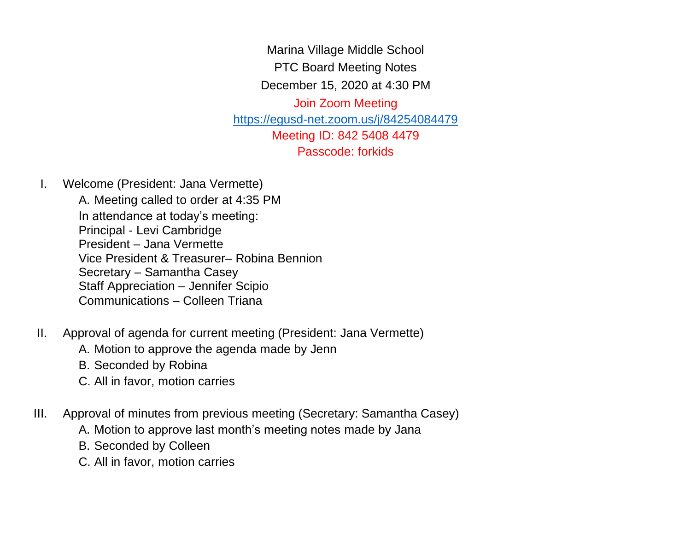Marina Village Middle School PTC Board Meeting Notes

December 15, 2020 at 4:30 PM

Join Zoom Meeting <https://egusd-net.zoom.us/j/84254084479> Meeting ID: 842 5408 4479 Passcode: forkids

I. Welcome (President: Jana Vermette)

A. Meeting called to order at 4:35 PM In attendance at today's meeting: Principal - Levi Cambridge President – Jana Vermette Vice President & Treasurer– Robina Bennion Secretary – Samantha Casey Staff Appreciation – Jennifer Scipio Communications – Colleen Triana

- II. Approval of agenda for current meeting (President: Jana Vermette)
	- A. Motion to approve the agenda made by Jenn
	- B. Seconded by Robina
	- C. All in favor, motion carries
- III. Approval of minutes from previous meeting (Secretary: Samantha Casey)
	- A. Motion to approve last month's meeting notes made by Jana
	- B. Seconded by Colleen
	- C. All in favor, motion carries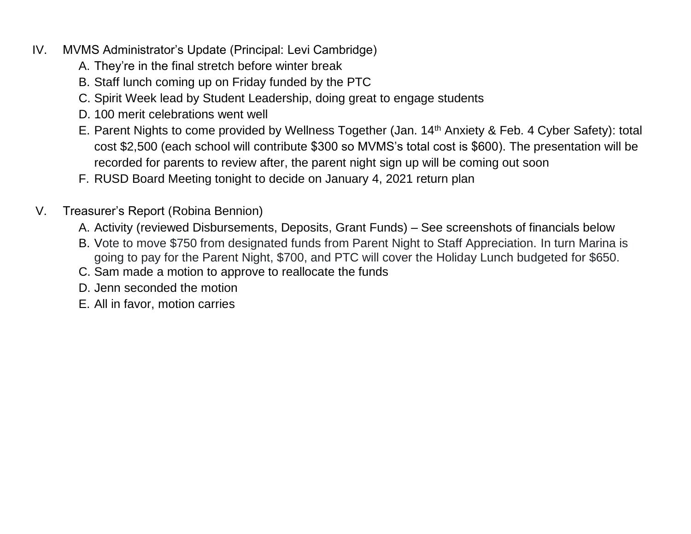- IV. MVMS Administrator's Update (Principal: Levi Cambridge)
	- A. They're in the final stretch before winter break
	- B. Staff lunch coming up on Friday funded by the PTC
	- C. Spirit Week lead by Student Leadership, doing great to engage students
	- D. 100 merit celebrations went well
	- E. Parent Nights to come provided by Wellness Together (Jan. 14th Anxiety & Feb. 4 Cyber Safety): total cost \$2,500 (each school will contribute \$300 so MVMS's total cost is \$600). The presentation will be recorded for parents to review after, the parent night sign up will be coming out soon
	- F. RUSD Board Meeting tonight to decide on January 4, 2021 return plan
- V. Treasurer's Report (Robina Bennion)
	- A. Activity (reviewed Disbursements, Deposits, Grant Funds) See screenshots of financials below
	- B. Vote to move \$750 from designated funds from Parent Night to Staff Appreciation. In turn Marina is going to pay for the Parent Night, \$700, and PTC will cover the Holiday Lunch budgeted for \$650.
	- C. Sam made a motion to approve to reallocate the funds
	- D. Jenn seconded the motion
	- E. All in favor, motion carries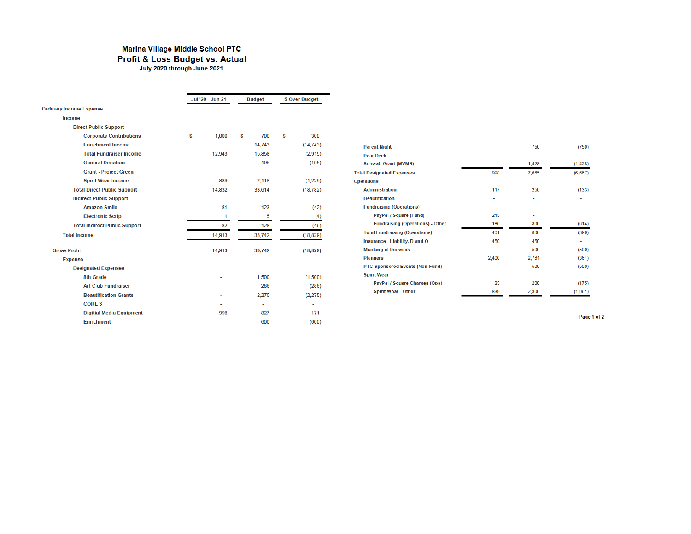## Marina Village Middle School PTC Profit & Loss Budget vs. Actual July 2020 through June 2021

|                                      | Jul '20 - Jun 21 |        | <b>Budget</b> |        | \$ Over Budget |           |
|--------------------------------------|------------------|--------|---------------|--------|----------------|-----------|
| <b>Ordinary Income/Expense</b>       |                  |        |               |        |                |           |
| Income                               |                  |        |               |        |                |           |
| <b>Direct Public Support</b>         |                  |        |               |        |                |           |
| <b>Corporate Contributions</b>       | s                | 1,000  | S             | 700    | S              | 300       |
| <b>Enrichment Income</b>             |                  |        |               | 14.743 |                | (14, 743) |
| <b>Total Fundraiser Income</b>       |                  | 12,943 |               | 15,858 |                | (2,915)   |
| <b>General Donation</b>              |                  | J,     |               | 195    |                | (195)     |
| <b>Grant - Project Green</b>         |                  |        |               | ٠      |                | ÷         |
| <b>Spirit Wear Income</b>            |                  | 889    |               | 2.118  |                | (1,229)   |
| <b>Total Direct Public Support</b>   |                  | 14,832 |               | 33,614 |                | (18, 782) |
| <b>Indirect Public Support</b>       |                  |        |               |        |                |           |
| <b>Amazon Smile</b>                  |                  | 81     |               | 123    |                | (42)      |
| <b>Electronic Scrip</b>              |                  | 1      |               | 5      |                | (4)       |
| <b>Total Indirect Public Support</b> |                  | 82     |               | 128    |                | (46)      |
| <b>Total Income</b>                  |                  | 14,913 |               | 33,742 |                | (18, 829) |
| <b>Gross Profit</b>                  |                  | 14,913 |               | 33,742 |                | (18, 829) |
| <b>Expense</b>                       |                  |        |               |        |                |           |
| <b>Designated Expenses</b>           |                  |        |               |        |                |           |
| <b>8th Grade</b>                     |                  |        |               | 1,500  |                | (1.500)   |
| <b>Art Club Fundraiser</b>           |                  |        |               | 286    |                | (286)     |
| <b>Beautification Grants</b>         |                  |        |               | 2,275  |                | (2,275)   |
| <b>CORE 3</b>                        |                  |        |               | ٠      |                | ÷         |
| <b>Digitial Media Equipment</b>      |                  | 998    |               | 827    |                | 171       |
| <b>Enrichment</b>                    |                  | ٠      |               | 600    |                | (600)     |

| <b>Parent Night</b>                     |       | 750   | (750)   |
|-----------------------------------------|-------|-------|---------|
| <b>Pear Deck</b>                        |       | ۰     |         |
| <b>Schwab Grant (MVMS)</b>              |       | 1,428 | (1,428) |
| <b>Total Designated Expenses</b>        | 998   | 7,665 | (6,667) |
| <b>Operations</b>                       |       |       |         |
| <b>Administration</b>                   | 117   | 250   | (133)   |
| <b>Beautification</b>                   | ۰     | ٠     |         |
| <b>Fundraising (Operations)</b>         |       |       |         |
| PayPal / Square (Fund)                  | 215   | ٠     |         |
| <b>Fundraising (Operations) - Other</b> | 186   | 800   | (614)   |
| <b>Total Fundraising (Operations)</b>   | 401   | 800   | (399)   |
| Insurance - Liability, D and O          | 450   | 450   |         |
| <b>Mustang of the week</b>              | ۰     | 500   | (500)   |
| <b>Planners</b>                         | 2,400 | 2,761 | (361)   |
| <b>PTC Sponsored Events (Non-Fund)</b>  | ۰     | 500   | (500)   |
| <b>Spirit Wear</b>                      |       |       |         |
| PayPal / Square Charges (Ops)           | 25    | 200   | (175)   |
| <b>Spirit Wear - Other</b>              | 839   | 2,800 | (1,961) |

Page 1 of 2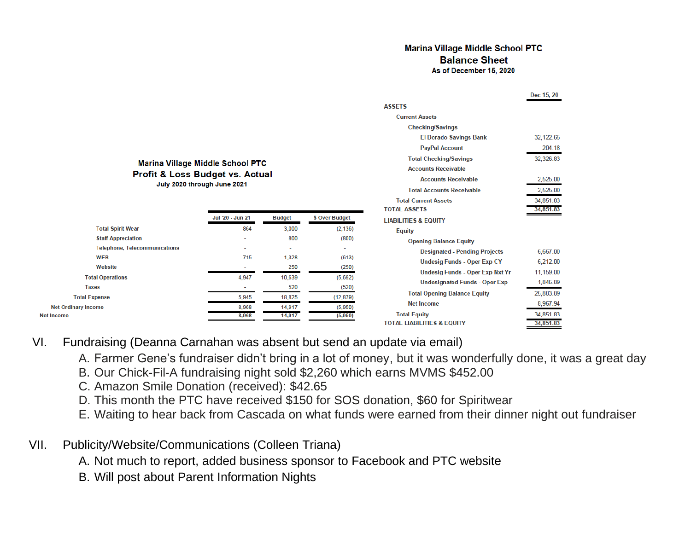## **Marina Village Middle School PTC Balance Sheet** As of December 15, 2020

|                                       | Dec 15, 20 |
|---------------------------------------|------------|
| <b>ASSETS</b>                         |            |
| <b>Current Assets</b>                 |            |
| <b>Checking/Savings</b>               |            |
| <b>El Dorado Savings Bank</b>         | 32,122.65  |
| <b>PayPal Account</b>                 | 204.18     |
| <b>Total Checking/Savings</b>         | 32,326.83  |
| <b>Accounts Receivable</b>            |            |
| <b>Accounts Receivable</b>            | 2,525.00   |
| <b>Total Accounts Receivable</b>      | 2,525.00   |
| <b>Total Current Assets</b>           | 34,851.83  |
| <b>TOTAL ASSETS</b>                   | 34,851.83  |
| <b>LIABILITIES &amp; EQUITY</b>       |            |
| <b>Equity</b>                         |            |
| <b>Opening Balance Equity</b>         |            |
| <b>Designated - Pending Projects</b>  | 6,667.00   |
| <b>Undesig Funds - Oper Exp CY</b>    | 6,212.00   |
| Undesig Funds - Oper Exp Nxt Yr       | 11,159.00  |
| <b>Undesignated Funds - Oper Exp</b>  | 1,845.89   |
| <b>Total Opening Balance Equity</b>   | 25,883.89  |
| <b>Net Income</b>                     | 8,967.94   |
| <b>Total Equity</b>                   | 34,851.83  |
| <b>TOTAL LIABILITIES &amp; EQUITY</b> | 34.851.83  |

## Marina Village Middle School PTC **Profit & Loss Budget vs. Actual** July 2020 through June 2021

| Jul '20 - Jun 21         | <b>Budget</b>            | \$ Over Budget |
|--------------------------|--------------------------|----------------|
| 864                      | 3,000                    | (2, 136)       |
| ۰                        | 800                      | (800)          |
| $\overline{\phantom{a}}$ | $\overline{\phantom{a}}$ | -              |
| 715                      | 1,328                    | (613)          |
| $\overline{\phantom{a}}$ | 250                      | (250)          |
| 4,947                    | 10,639                   | (5,692)        |
| $\overline{\phantom{a}}$ | 520                      | (520)          |
| 5,945                    | 18,825                   | (12, 879)      |
| 8,968                    | 14,917                   | (5,950)        |
| 8,968                    | 14,917                   | (5,950)        |
|                          |                          |                |

## VI. Fundraising (Deanna Carnahan was absent but send an update via email)

- A. Farmer Gene's fundraiser didn't bring in a lot of money, but it was wonderfully done, it was a great day
- B. Our Chick-Fil-A fundraising night sold \$2,260 which earns MVMS \$452.00
- C. Amazon Smile Donation (received): \$42.65
- D. This month the PTC have received \$150 for SOS donation, \$60 for Spiritwear
- E. Waiting to hear back from Cascada on what funds were earned from their dinner night out fundraiser
- VII. Publicity/Website/Communications (Colleen Triana)
	- A. Not much to report, added business sponsor to Facebook and PTC website
	- B. Will post about Parent Information Nights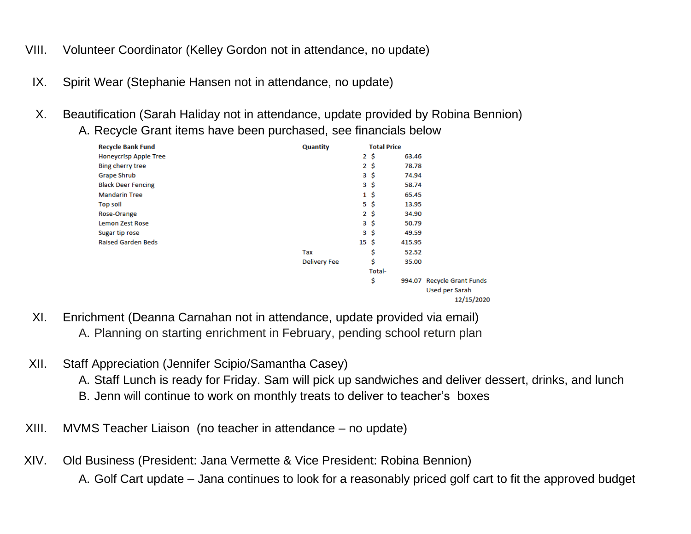- VIII. Volunteer Coordinator (Kelley Gordon not in attendance, no update)
- IX. Spirit Wear (Stephanie Hansen not in attendance, no update)
- X. Beautification (Sarah Haliday not in attendance, update provided by Robina Bennion)
	- A. Recycle Grant items have been purchased, see financials below

| <b>Quantity</b>     |                  |        |                            |
|---------------------|------------------|--------|----------------------------|
|                     | $2\ddot{5}$      | 63.46  |                            |
|                     | $2 \cdot$ \$     | 78.78  |                            |
|                     | $3\ddot{5}$      | 74.94  |                            |
|                     | $3\ddot{5}$      | 58.74  |                            |
|                     | $1\,$ \$         | 65.45  |                            |
|                     | $5\hat{S}$       | 13.95  |                            |
|                     | $2\ddot{s}$      | 34.90  |                            |
|                     | $3\ddot{5}$      | 50.79  |                            |
|                     | $3\ddot{\zeta}$  | 49.59  |                            |
|                     | $15 \; \text{S}$ | 415.95 |                            |
| Tax                 | \$               | 52.52  |                            |
| <b>Delivery Fee</b> | \$               | 35.00  |                            |
|                     | Total-           |        |                            |
|                     | \$               |        | 994.07 Recycle Grant Funds |
|                     |                  |        | Used per Sarah             |
|                     |                  |        | 12/15/2020                 |
|                     |                  |        | <b>Total Price</b>         |

- XI. Enrichment (Deanna Carnahan not in attendance, update provided via email) A. Planning on starting enrichment in February, pending school return plan
- XII. Staff Appreciation (Jennifer Scipio/Samantha Casey)
	- A. Staff Lunch is ready for Friday. Sam will pick up sandwiches and deliver dessert, drinks, and lunch
	- B. Jenn will continue to work on monthly treats to deliver to teacher's boxes
- XIII. MVMS Teacher Liaison (no teacher in attendance no update)
- XIV. Old Business (President: Jana Vermette & Vice President: Robina Bennion) A. Golf Cart update – Jana continues to look for a reasonably priced golf cart to fit the approved budget